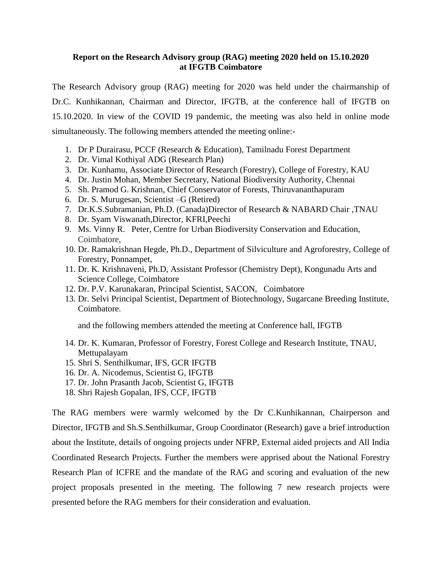## **Report on the Research Advisory group (RAG) meeting 2020 held on 15.10.2020 at IFGTB Coimbatore**

The Research Advisory group (RAG) meeting for 2020 was held under the chairmanship of Dr.C. Kunhikannan, Chairman and Director, IFGTB, at the conference hall of IFGTB on 15.10.2020. In view of the COVID 19 pandemic, the meeting was also held in online mode simultaneously. The following members attended the meeting online:-

- 1. Dr P Durairasu, PCCF (Research & Education), Tamilnadu Forest Department
- 2. Dr. Vimal Kothiyal ADG (Research Plan)
- 3. Dr. Kunhamu, Associate Director of Research (Forestry), College of Forestry, KAU
- 4. Dr. Justin Mohan, Member Secretary, National Biodiversity Authority, Chennai
- 5. Sh. Pramod G. Krishnan, Chief Conservator of Forests, Thiruvananthapuram
- 6. Dr. S. Murugesan, Scientist –G (Retired)
- 7. Dr.K.S.Subramanian, Ph.D. (Canada)Director of Research & NABARD Chair ,TNAU
- 8. Dr. Syam Viswanath,Director, KFRI,Peechi
- 9. Ms. Vinny R. Peter, Centre for Urban Biodiversity Conservation and Education, Coimbatore,
- 10. Dr. Ramakrishnan Hegde, Ph.D., Department of Silviculture and Agroforestry, College of Forestry, Ponnampet,
- 11. Dr. K. Krishnaveni, Ph.D, Assistant Professor (Chemistry Dept), Kongunadu Arts and Science College, Coimbatore
- 12. Dr. P.V. Karunakaran, Principal Scientist, SACON, Coimbatore
- 13. Dr. Selvi Principal Scientist, Department of Biotechnology, Sugarcane Breeding Institute, Coimbatore.

and the following members attended the meeting at Conference hall, IFGTB

- 14. Dr. K. Kumaran, Professor of Forestry, Forest College and Research Institute, TNAU, Mettupalayam
- 15. Shri S. Senthilkumar, IFS, GCR IFGTB
- 16. Dr. A. Nicodemus, Scientist G, IFGTB
- 17. Dr. John Prasanth Jacob, Scientist G, IFGTB
- 18. Shri Rajesh Gopalan, IFS, CCF, IFGTB

The RAG members were warmly welcomed by the Dr C.Kunhikannan, Chairperson and Director, IFGTB and Sh.S.Senthilkumar, Group Coordinator (Research) gave a brief introduction about the Institute, details of ongoing projects under NFRP, External aided projects and All India Coordinated Research Projects. Further the members were apprised about the National Forestry Research Plan of ICFRE and the mandate of the RAG and scoring and evaluation of the new project proposals presented in the meeting. The following 7 new research projects were presented before the RAG members for their consideration and evaluation.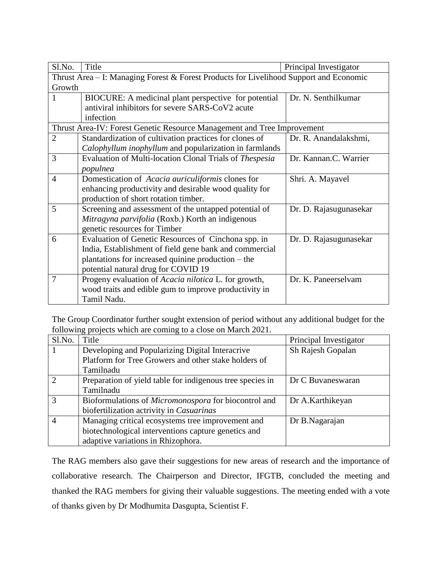| Sl.No.                                                                                 | Title                                                   | Principal Investigator |  |
|----------------------------------------------------------------------------------------|---------------------------------------------------------|------------------------|--|
| Thrust Area – I: Managing Forest & Forest Products for Livelihood Support and Economic |                                                         |                        |  |
| Growth                                                                                 |                                                         |                        |  |
|                                                                                        | BIOCURE: A medicinal plant perspective for potential    | Dr. N. Senthilkumar    |  |
|                                                                                        | antiviral inhibitors for severe SARS-CoV2 acute         |                        |  |
|                                                                                        | infection                                               |                        |  |
| Thrust Area-IV: Forest Genetic Resource Management and Tree Improvement                |                                                         |                        |  |
| $\overline{2}$                                                                         | Standardization of cultivation practices for clones of  | Dr. R. Anandalakshmi,  |  |
|                                                                                        | Calophyllum inophyllum and popularization in farmlands  |                        |  |
| 3                                                                                      | Evaluation of Multi-location Clonal Trials of Thespesia | Dr. Kannan.C. Warrier  |  |
|                                                                                        | populnea                                                |                        |  |
| $\overline{4}$                                                                         | Domestication of Acacia auriculiformis clones for       | Shri. A. Mayavel       |  |
|                                                                                        | enhancing productivity and desirable wood quality for   |                        |  |
|                                                                                        | production of short rotation timber.                    |                        |  |
| 5                                                                                      | Screening and assessment of the untapped potential of   | Dr. D. Rajasugunasekar |  |
|                                                                                        | Mitragyna parvifolia (Roxb.) Korth an indigenous        |                        |  |
|                                                                                        | genetic resources for Timber                            |                        |  |
| 6                                                                                      | Evaluation of Genetic Resources of Cinchona spp. in     | Dr. D. Rajasugunasekar |  |
|                                                                                        | India, Establishment of field gene bank and commercial  |                        |  |
|                                                                                        | plantations for increased quinine production – the      |                        |  |
|                                                                                        | potential natural drug for COVID 19                     |                        |  |
| 7                                                                                      | Progeny evaluation of Acacia nilotica L. for growth,    | Dr. K. Paneerselvam    |  |
|                                                                                        | wood traits and edible gum to improve productivity in   |                        |  |
|                                                                                        | Tamil Nadu.                                             |                        |  |

The Group Coordinator further sought extension of period without any additional budget for the following projects which are coming to a close on March 2021.

| Sl.No.                      | Title                                                     | Principal Investigator |
|-----------------------------|-----------------------------------------------------------|------------------------|
|                             | Developing and Popularizing Digital Interacrive           | Sh Rajesh Gopalan      |
|                             | Platform for Tree Growers and other stake holders of      |                        |
|                             | Tamilnadu                                                 |                        |
| $\mathcal{D}_{\mathcal{L}}$ | Preparation of yield table for indigenous tree species in | Dr C Buvaneswaran      |
|                             | Tamilnadu                                                 |                        |
| 3                           | Bioformulations of Micromonospora for biocontrol and      | Dr A.Karthikeyan       |
|                             | biofertilization actrivity in Casuarinas                  |                        |
|                             | Managing critical ecosystems tree improvement and         | Dr B.Nagarajan         |
|                             | biotechnological interventions capture genetics and       |                        |
|                             | adaptive variations in Rhizophora.                        |                        |

The RAG members also gave their suggestions for new areas of research and the importance of collaborative research. The Chairperson and Director, IFGTB, concluded the meeting and thanked the RAG members for giving their valuable suggestions. The meeting ended with a vote of thanks given by Dr Modhumita Dasgupta, Scientist F.